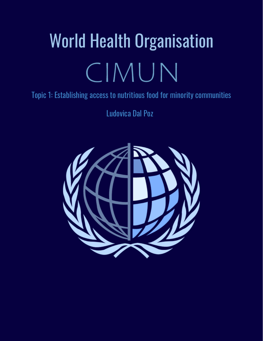# World Health Organisation CIMUN

# Topic 1: Establishing access to nutritious food for minority communities

Ludovica Dal Poz

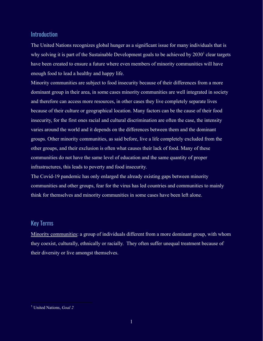# Introduction

The United Nations recognizes global hunger as a significant issue for many individuals that is why solving it is part of the Sustainable Development goals to be achieved by  $2030<sup>1</sup>$  clear targets have been created to ensure a future where even members of minority communities will have enough food to lead a healthy and happy life.

Minority communities are subject to food insecurity because of their differences from a more dominant group in their area, in some cases minority communities are well integrated in society and therefore can access more resources, in other cases they live completely separate lives because of their culture or geographical location. Many factors can be the cause of their food insecurity, for the first ones racial and cultural discrimination are often the case, the intensity varies around the world and it depends on the differences between them and the dominant groups. Other minority communities, as said before, live a life completely excluded from the other groups, and their exclusion is often what causes their lack of food. Many of these communities do not have the same level of education and the same quantity of proper infrastructures, this leads to poverty and food insecurity.

The Covid-19 pandemic has only enlarged the already existing gaps between minority communities and other groups, fear for the virus has led countries and communities to mainly think for themselves and minority communities in some cases have been left alone.

# Key Terms

Minority communities: a group of individuals different from a more dominant group, with whom they coexist, culturally, ethnically or racially. They often suffer unequal treatment because of their diversity or live amongst themselves.

<sup>1</sup> United Nations, *Goal 2*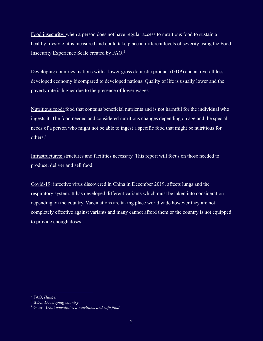Food insecurity: when a person does not have regular access to nutritious food to sustain a healthy lifestyle, it is measured and could take place at different levels of severity using the Food Insecurity Experience Scale created by FAO.<sup>2</sup>

Developing countries: nations with a lower gross domestic product (GDP) and an overall less developed economy if compared to developed nations. Quality of life is usually lower and the poverty rate is higher due to the presence of lower wages.<sup>3</sup>

Nutritious food: food that contains beneficial nutrients and is not harmful for the individual who ingests it. The food needed and considered nutritious changes depending on age and the special needs of a person who might not be able to ingest a specific food that might be nutritious for others.<sup>4</sup>

Infrastructures: structures and facilities necessary. This report will focus on those needed to produce, deliver and sell food.

Covid-19: infective virus discovered in China in December 2019, affects lungs and the respiratory system. It has developed different variants which must be taken into consideration depending on the country. Vaccinations are taking place world wide however they are not completely effective against variants and many cannot afford them or the country is not equipped to provide enough doses.

<sup>2</sup> FAO, *Hunger*

<sup>3</sup> BDC, *Developing country*

<sup>4</sup> Gains, *What constitutes a nutritious and safe food*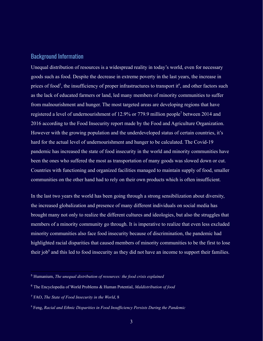#### Background Information

Unequal distribution of resources is a widespread reality in today's world, even for necessary goods such as food. Despite the decrease in extreme poverty in the last years, the increase in prices of food<sup>5</sup>, the insufficiency of proper infrastructures to transport it<sup>6</sup>, and other factors such as the lack of educated farmers or land, led many members of minority communities to suffer from malnourishment and hunger. The most targeted areas are developing regions that have registered a level of undernourishment of 12.9% or 779.9 million people<sup>7</sup> between 2014 and 2016 according to the Food Insecurity report made by the Food and Agriculture Organization. However with the growing population and the underdeveloped status of certain countries, it's hard for the actual level of undernourishment and hunger to be calculated. The Covid-19 pandemic has increased the state of food insecurity in the world and minority communities have been the ones who suffered the most as transportation of many goods was slowed down or cut. Countries with functioning and organized facilities managed to maintain supply of food, smaller communities on the other hand had to rely on their own products which is often insufficient.

In the last two years the world has been going through a strong sensibilization about diversity, the increased globalization and presence of many different individuals on social media has brought many not only to realize the different cultures and ideologies, but also the struggles that members of a minority community go through. It is imperative to realize that even less excluded minority communities also face food insecurity because of discrimination, the pandemic had highlighted racial disparities that caused members of minority communities to be the first to lose their job<sup> $8$ </sup> and this led to food insecurity as they did not have an income to support their families.

<sup>5</sup> Humanium, *The unequal distribution of resources: the food crisis explained*

<sup>6</sup> The Encyclopedia of World Problems & Human Potential, *Maldistribution of food*

<sup>7</sup> FAO, *The State of Food Insecurity in the World*, 8

<sup>8</sup> Feng, *Racial and Ethnic Disparities in Food Insuf iciency Persists During the Pandemic*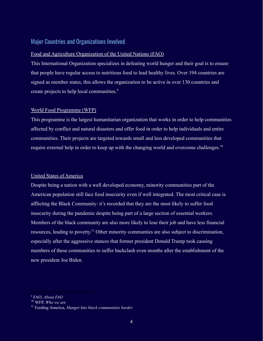# Major Countries and Organizations Involved

#### Food and Agriculture Organization of the United Nations (FAO)

This International Organization specializes in defeating world hunger and their goal is to ensure that people have regular access to nutritious food to lead healthy lives. Over 194 countries are signed as member states, this allows the organization to be active in over 130 countries and create projects to help local communities.<sup>9</sup>

#### World Food Programme (WFP)

This programme is the largest humanitarian organization that works in order to help communities affected by conflict and natural disasters and offer food in order to help individuals and entire communities. Their projects are targeted towards small and less developed communities that require external help in order to keep up with the changing world and overcome challenges.<sup>10</sup>

#### United States of America

Despite being a nation with a well developed economy, minority communities part of the American population still face food insecurity even if well integrated. The most critical case is afflicting the Black Community: it's recorded that they are the most likely to suffer food insecurity during the pandemic despite being part of a large section of essential workers. Members of the black community are also more likely to lose their job and have less financial resources, leading to poverty.<sup>11</sup> Other minority communties are also subject to discrimination, especially after the aggressive stances that former president Donald Trump took causing members of these communities to suffer backclash even months after the establishment of the new president Joe Biden.

<sup>9</sup> FAO, *About FAO*

<sup>10</sup> WFP, *Who we are*

<sup>11</sup> Feeding America, *Hunger hits black communities harder*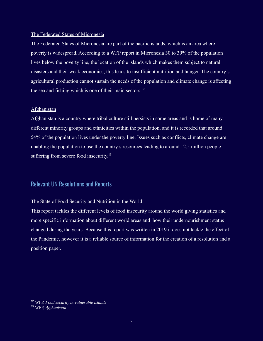#### The Federated States of Micronesia

The Federated States of Micronesia are part of the pacific islands, which is an area where poverty is widespread. According to a WFP report in Micronesia 30 to 39% of the population lives below the poverty line, the location of the islands which makes them subject to natural disasters and their weak economies, this leads to insufficient nutrition and hunger. The country's agricultural production cannot sustain the needs of the population and climate change is affecting the sea and fishing which is one of their main sectors.<sup>12</sup>

#### Afghanistan

Afghanistan is a country where tribal culture still persists in some areas and is home of many different minority groups and ethnicities within the population, and it is recorded that around 54% of the population lives under the poverty line. Issues such as conflicts, climate change are unabling the population to use the country's resources leading to around 12.5 million people suffering from severe food insecurity.<sup>13</sup>

#### Relevant UN Resolutions and Reports

#### The State of Food Security and Nutrition in the World

This report tackles the different levels of food insecurity around the world giving statistics and more specific information about different world areas and how their undernourishment status changed during the years. Because this report was written in 2019 it does not tackle the effect of the Pandemic, however it is a reliable source of information for the creation of a resolution and a position paper.

<sup>12</sup> WFP, *Food security in vulnerable islands*

<sup>13</sup> WFP, *Afghanistan*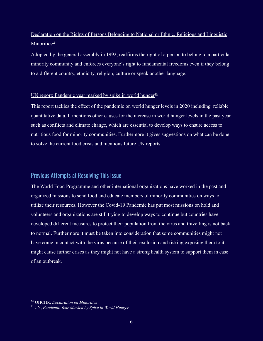# Declaration on the Rights of Persons Belonging to National or Ethnic, Religious and Linguistic Minorities $\frac{14}{3}$

Adopted by the general assembly in 1992, reaffirms the right of a person to belong to a particular minority community and enforces everyone's right to fundamental freedoms even if they belong to a different country, ethnicity, religion, culture or speak another language.

#### UN report: Pandemic year marked by spike in world hunger<sup>15</sup>

This report tackles the effect of the pandemic on world hunger levels in 2020 including reliable quantitative data. It mentions other causes for the increase in world hunger levels in the past year such as conflicts and climate change, which are essential to develop ways to ensure access to nutritious food for minority communities. Furthermore it gives suggestions on what can be done to solve the current food crisis and mentions future UN reports.

#### Previous Attempts at Resolving This Issue

The World Food Programme and other international organizations have worked in the past and organized missions to send food and educate members of minority communities on ways to utilize their resources. However the Covid-19 Pandemic has put most missions on hold and volunteers and organizations are still trying to develop ways to continue but countries have developed different measures to protect their population from the virus and travelling is not back to normal. Furthermore it must be taken into consideration that some communities might not have come in contact with the virus because of their exclusion and risking exposing them to it might cause further crises as they might not have a strong health system to support them in case of an outbreak.

<sup>14</sup> OHCHR, *Declaration on Minorities*

<sup>15</sup> UN, *Pandemic Year Marked by Spike in World Hunger*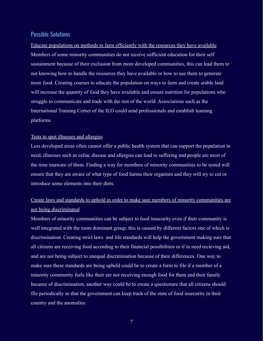# Possible Solutions

Educate populations on methods to farm efficiently with the resources they have available Members of some minority communities do not receive sufficient education for their self sustainment because of their exclusion from more developed communities, this can lead them to not knowing how to handle the resources they have available or how to use them to generate more food. Creating courses to educate the population on ways to farm and create arable land will increase the quantity of food they have available and ensure nutrition for populations who struggle to communicate and trade with the rest of the world. Associations such as the International Training Center of the ILO could send professionals and establish learning platforms.

#### Tests to spot illnesses and allergies

Less developed areas often cannot offer a public health system that can support the population in need, illnesses such as celiac disease and allergies can lead to suffering and people are most of the time unaware of them. Finding a way for members of minority communities to be tested will ensure that they are aware of what type of food harms their organism and they will try to cut or introduce some elements into their diets.

# Create laws and standards to uphold in order to make sure members of minority communities are not being discriminated

Members of minority communities can be subject to food insecurity even if their community is well integrated with the more dominant group, this is caused by different factors one of which is discrimination. Creating strict laws and life standards will help the government making sure that all citizens are receiving food according to their financial possibilities or if in need recieving aid, and are not being subject to unequal discrimination because of their differences. One way to make sure these standards are being upheld could be to create a form to file if a member of a minority community feels like their are not receiving enough food for them and their family because of discrimination, another way could be to create a questionare that all citizens should file periodically so that the government can keep track of the state of food insecurity in their country and the anomalies.

7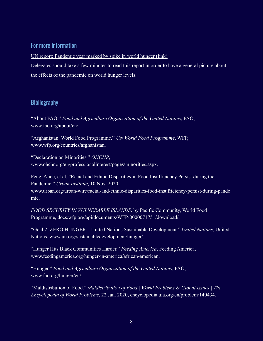# For more information

UN report: Pandemic year marked by spike in world hunger [\(link\)](https://www.who.int/news/item/12-07-2021-un-report-pandemic-year-marked-by-spike-in-world-hunger)

Delegates should take a few minutes to read this report in order to have a general picture about the effects of the pandemic on world hunger levels.

# Bibliography

"About FAO." *Food and Agriculture Organization of the United Nations*, FAO, www.fao.org/about/en/.

"Afghanistan: World Food Programme." *UN World Food Programme*, WFP, www.wfp.org/countries/afghanistan.

"Declaration on Minorities." *OHCHR*, www.ohchr.org/en/professionalinterest/pages/minorities.aspx.

Feng, Alice, et al. "Racial and Ethnic Disparities in Food Insufficiency Persist during the Pandemic." *Urban Institute*, 10 Nov. 2020, www.urban.org/urban-wire/racial-and-ethnic-disparities-food-insufficiency-persist-during-pande mic.

*FOOD SECURITY IN VULNERABLE ISLANDS*. by Pacific Community, World Food Programme, docs.wfp.org/api/documents/WFP-0000071751/download/.

"Goal 2: ZERO HUNGER – United Nations Sustainable Development." *United Nations*, United Nations, www.un.org/sustainabledevelopment/hunger/.

"Hunger Hits Black Communities Harder." *Feeding America*, Feeding America, www.feedingamerica.org/hunger-in-america/african-american.

"Hunger." *Food and Agriculture Organization of the United Nations*, FAO, www.fao.org/hunger/en/.

"Maldistribution of Food." *Maldistribution of Food | World Problems & Global Issues | The Encyclopedia of World Problems*, 22 Jan. 2020, encyclopedia.uia.org/en/problem/140434.